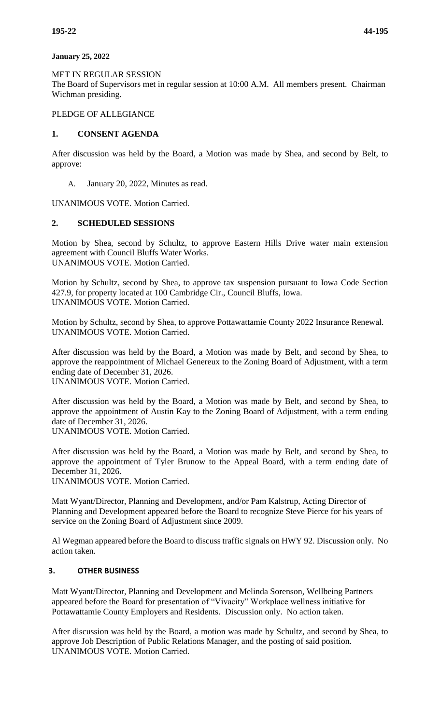### **January 25, 2022**

MET IN REGULAR SESSION

The Board of Supervisors met in regular session at 10:00 A.M. All members present. Chairman Wichman presiding.

## PLEDGE OF ALLEGIANCE

## **1. CONSENT AGENDA**

After discussion was held by the Board, a Motion was made by Shea, and second by Belt, to approve:

A. January 20, 2022, Minutes as read.

UNANIMOUS VOTE. Motion Carried.

## **2. SCHEDULED SESSIONS**

Motion by Shea, second by Schultz, to approve Eastern Hills Drive water main extension agreement with Council Bluffs Water Works. UNANIMOUS VOTE. Motion Carried.

Motion by Schultz, second by Shea, to approve tax suspension pursuant to Iowa Code Section 427.9, for property located at 100 Cambridge Cir., Council Bluffs, Iowa. UNANIMOUS VOTE. Motion Carried.

Motion by Schultz, second by Shea, to approve Pottawattamie County 2022 Insurance Renewal. UNANIMOUS VOTE. Motion Carried.

After discussion was held by the Board, a Motion was made by Belt, and second by Shea, to approve the reappointment of Michael Genereux to the Zoning Board of Adjustment, with a term ending date of December 31, 2026.

UNANIMOUS VOTE. Motion Carried.

After discussion was held by the Board, a Motion was made by Belt, and second by Shea, to approve the appointment of Austin Kay to the Zoning Board of Adjustment, with a term ending date of December 31, 2026.

UNANIMOUS VOTE. Motion Carried.

After discussion was held by the Board, a Motion was made by Belt, and second by Shea, to approve the appointment of Tyler Brunow to the Appeal Board, with a term ending date of December 31, 2026.

UNANIMOUS VOTE. Motion Carried.

Matt Wyant/Director, Planning and Development, and/or Pam Kalstrup, Acting Director of Planning and Development appeared before the Board to recognize Steve Pierce for his years of service on the Zoning Board of Adjustment since 2009.

Al Wegman appeared before the Board to discuss traffic signals on HWY 92. Discussion only. No action taken.

# **3. OTHER BUSINESS**

Matt Wyant/Director, Planning and Development and Melinda Sorenson, Wellbeing Partners appeared before the Board for presentation of "Vivacity" Workplace wellness initiative for Pottawattamie County Employers and Residents. Discussion only. No action taken.

After discussion was held by the Board, a motion was made by Schultz, and second by Shea, to approve Job Description of Public Relations Manager, and the posting of said position. UNANIMOUS VOTE. Motion Carried.